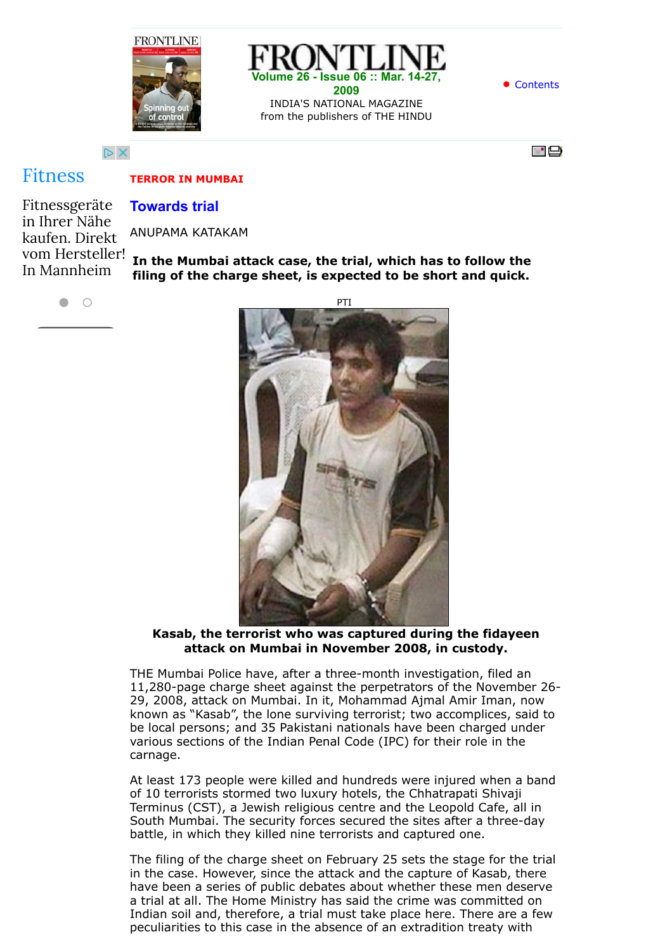



**•** [Contents](http://www.frontline.in/static/html/fl2606/index.htm)

 $\triangleright$  X

## [Fitness](http://www.googleadservices.com/pagead/aclk?sa=L&ai=CYGqv7tbEVbTrMNfubvPOlpgCvb6P7QjttqfhwAHAjbcBEAEg4MmcA2CVuq6CtAegAdOtgccDyAEBqQLMpYxOilWyPqgDAcgDwwSqBKsBT9Cuy3Yyn5O24451HZxBb7I77GnecRXeyiR4nUxATyDQB8XiMjl9Dftb-yCKY42iBj5xFab2VZ9UkR8dVNE_PhXXItDI0QQ7qFlQn2UJSwHJhensrbldSiENA81W11R4TtCg6ZXdCRBRjvjqcS6kx0jtNCYGAf-_sXrxxUPdwFEgwfgLKHyRxXmBocOJQzztX7YFdRorJqpOZcEYhh6hM0mvE8A8AYqP3vM3iAYBgAeV0v44qAemvhvYBwE&num=1&cid=5Gi56AmuDqIKMUyyPXSaKc_K&sig=AOD64_1bJFgyt2RgqQDUn0zVc7zR0EkEBQ&client=ca-pub-6238405171313215&adurl=http://ssl.hurra.com/TrackIt%3Ftid%3D10025772C3753PPC%26dev%3Dc%26url%3D%5B%5Bhttp://www.hammer.de/hammer-factory-store-muenchen%5D%5D%26sempro_st%3D%26sempro_ad%3D16661551301,mc%3D,,584301,c,,CONTENT,fitness,www.frontline.in%26sempro_kw%3D%26sempro_gen%3D%5B%5Bcampaignid:164846253!!adgroupid:8716721253!!feeditemid:!!targetid:kwd-11587671!!loc_physical_ms:9044634!!loc_interest_ms:%5D%5D)

# **Towards trial**

Fitnessgeräte in Ihrer Nähe kaufen. Direkt vom Hersteller! In Mannheim

**TERROR IN MUMBAI**

ANUPAMA KATAKAM

**In the Mumbai attack case, the trial, which has to follow the filing of the charge sheet, is expected to be short and quick.**

 $\bigcirc$  $\blacksquare$ 



**Kasab, the terrorist who was captured during the fidayeen attack on Mumbai in November 2008, in custody.**

THE Mumbai Police have, after a three-month investigation, filed an 11,280-page charge sheet against the perpetrators of the November 26- 29, 2008, attack on Mumbai. In it, Mohammad Ajmal Amir Iman, now known as "Kasab", the lone surviving terrorist; two accomplices, said to be local persons; and 35 Pakistani nationals have been charged under various sections of the Indian Penal Code (IPC) for their role in the carnage.

At least 173 people were killed and hundreds were injured when a band of 10 terrorists stormed two luxury hotels, the Chhatrapati Shivaji Terminus (CST), a Jewish religious centre and the Leopold Cafe, all in South Mumbai. The security forces secured the sites after a three-day battle, in which they killed nine terrorists and captured one.

The filing of the charge sheet on February 25 sets the stage for the trial in the case. However, since the attack and the capture of Kasab, there have been a series of public debates about whether these men deserve a trial at all. The Home Ministry has said the crime was committed on Indian soil and, therefore, a trial must take place here. There are a few peculiarities to this case in the absence of an extradition treaty with

 $=$   $\Box$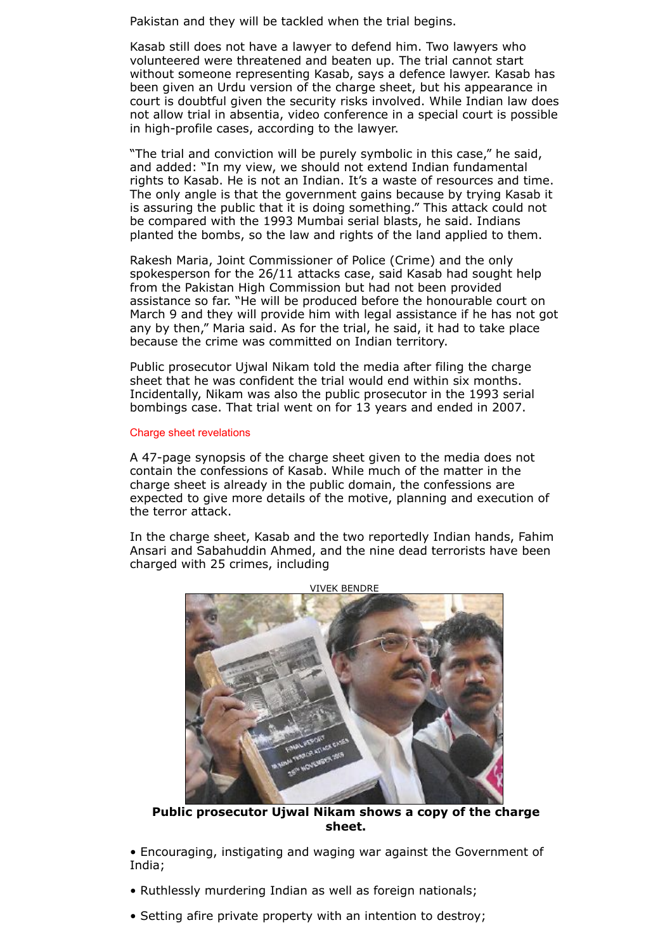Pakistan and they will be tackled when the trial begins.

Kasab still does not have a lawyer to defend him. Two lawyers who volunteered were threatened and beaten up. The trial cannot start without someone representing Kasab, says a defence lawyer. Kasab has been given an Urdu version of the charge sheet, but his appearance in court is doubtful given the security risks involved. While Indian law does not allow trial in absentia, video conference in a special court is possible in high-profile cases, according to the lawyer.

"The trial and conviction will be purely symbolic in this case," he said, and added: "In my view, we should not extend Indian fundamental rights to Kasab. He is not an Indian. It's a waste of resources and time. The only angle is that the government gains because by trying Kasab it is assuring the public that it is doing something." This attack could not be compared with the 1993 Mumbai serial blasts, he said. Indians planted the bombs, so the law and rights of the land applied to them.

Rakesh Maria, Joint Commissioner of Police (Crime) and the only spokesperson for the 26/11 attacks case, said Kasab had sought help from the Pakistan High Commission but had not been provided assistance so far. "He will be produced before the honourable court on March 9 and they will provide him with legal assistance if he has not got any by then," Maria said. As for the trial, he said, it had to take place because the crime was committed on Indian territory.

Public prosecutor Ujwal Nikam told the media after filing the charge sheet that he was confident the trial would end within six months. Incidentally, Nikam was also the public prosecutor in the 1993 serial bombings case. That trial went on for 13 years and ended in 2007.

#### Charge sheet revelations

A 47-page synopsis of the charge sheet given to the media does not contain the confessions of Kasab. While much of the matter in the charge sheet is already in the public domain, the confessions are expected to give more details of the motive, planning and execution of the terror attack.

In the charge sheet, Kasab and the two reportedly Indian hands, Fahim Ansari and Sabahuddin Ahmed, and the nine dead terrorists have been charged with 25 crimes, including



**Public prosecutor Ujwal Nikam shows a copy of the charge sheet.**

• Encouraging, instigating and waging war against the Government of India;

- Ruthlessly murdering Indian as well as foreign nationals;
- Setting afire private property with an intention to destroy;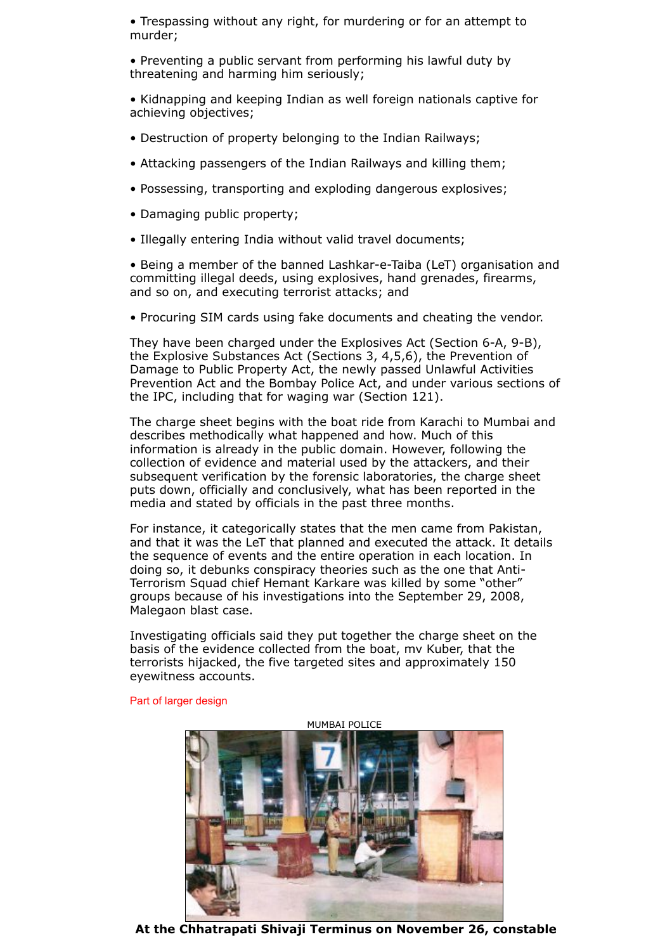• Trespassing without any right, for murdering or for an attempt to murder;

- Preventing a public servant from performing his lawful duty by threatening and harming him seriously;
- Kidnapping and keeping Indian as well foreign nationals captive for achieving objectives;
- Destruction of property belonging to the Indian Railways;
- Attacking passengers of the Indian Railways and killing them;
- Possessing, transporting and exploding dangerous explosives;
- Damaging public property;
- Illegally entering India without valid travel documents;

• Being a member of the banned Lashkar-e-Taiba (LeT) organisation and committing illegal deeds, using explosives, hand grenades, firearms, and so on, and executing terrorist attacks; and

• Procuring SIM cards using fake documents and cheating the vendor.

They have been charged under the Explosives Act (Section 6-A, 9-B), the Explosive Substances Act (Sections 3, 4,5,6), the Prevention of Damage to Public Property Act, the newly passed Unlawful Activities Prevention Act and the Bombay Police Act, and under various sections of the IPC, including that for waging war (Section 121).

The charge sheet begins with the boat ride from Karachi to Mumbai and describes methodically what happened and how. Much of this information is already in the public domain. However, following the collection of evidence and material used by the attackers, and their subsequent verification by the forensic laboratories, the charge sheet puts down, officially and conclusively, what has been reported in the media and stated by officials in the past three months.

For instance, it categorically states that the men came from Pakistan, and that it was the LeT that planned and executed the attack. It details the sequence of events and the entire operation in each location. In doing so, it debunks conspiracy theories such as the one that Anti-Terrorism Squad chief Hemant Karkare was killed by some "other" groups because of his investigations into the September 29, 2008, Malegaon blast case.

Investigating officials said they put together the charge sheet on the basis of the evidence collected from the boat, mv Kuber, that the terrorists hijacked, the five targeted sites and approximately 150 eyewitness accounts.



Part of larger design

**At the Chhatrapati Shivaji Terminus on November 26, constable**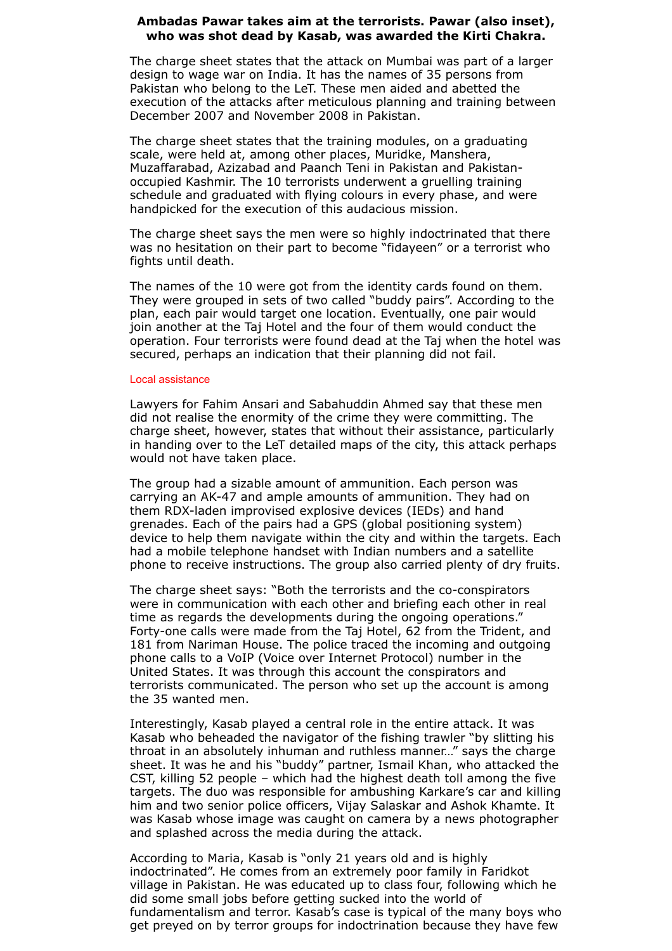### **Ambadas Pawar takes aim at the terrorists. Pawar (also inset), who was shot dead by Kasab, was awarded the Kirti Chakra.**

The charge sheet states that the attack on Mumbai was part of a larger design to wage war on India. It has the names of 35 persons from Pakistan who belong to the LeT. These men aided and abetted the execution of the attacks after meticulous planning and training between December 2007 and November 2008 in Pakistan.

The charge sheet states that the training modules, on a graduating scale, were held at, among other places, Muridke, Manshera, Muzaffarabad, Azizabad and Paanch Teni in Pakistan and Pakistanoccupied Kashmir. The 10 terrorists underwent a gruelling training schedule and graduated with flying colours in every phase, and were handpicked for the execution of this audacious mission.

The charge sheet says the men were so highly indoctrinated that there was no hesitation on their part to become "fidayeen" or a terrorist who fights until death.

The names of the 10 were got from the identity cards found on them. They were grouped in sets of two called "buddy pairs". According to the plan, each pair would target one location. Eventually, one pair would join another at the Taj Hotel and the four of them would conduct the operation. Four terrorists were found dead at the Taj when the hotel was secured, perhaps an indication that their planning did not fail.

#### Local assistance

Lawyers for Fahim Ansari and Sabahuddin Ahmed say that these men did not realise the enormity of the crime they were committing. The charge sheet, however, states that without their assistance, particularly in handing over to the LeT detailed maps of the city, this attack perhaps would not have taken place.

The group had a sizable amount of ammunition. Each person was carrying an AK-47 and ample amounts of ammunition. They had on them RDX-laden improvised explosive devices (IEDs) and hand grenades. Each of the pairs had a GPS (global positioning system) device to help them navigate within the city and within the targets. Each had a mobile telephone handset with Indian numbers and a satellite phone to receive instructions. The group also carried plenty of dry fruits.

The charge sheet says: "Both the terrorists and the co-conspirators were in communication with each other and briefing each other in real time as regards the developments during the ongoing operations." Forty-one calls were made from the Taj Hotel, 62 from the Trident, and 181 from Nariman House. The police traced the incoming and outgoing phone calls to a VoIP (Voice over Internet Protocol) number in the United States. It was through this account the conspirators and terrorists communicated. The person who set up the account is among the 35 wanted men.

Interestingly, Kasab played a central role in the entire attack. It was Kasab who beheaded the navigator of the fishing trawler "by slitting his throat in an absolutely inhuman and ruthless manner…" says the charge sheet. It was he and his "buddy" partner, Ismail Khan, who attacked the CST, killing 52 people – which had the highest death toll among the five targets. The duo was responsible for ambushing Karkare's car and killing him and two senior police officers, Vijay Salaskar and Ashok Khamte. It was Kasab whose image was caught on camera by a news photographer and splashed across the media during the attack.

According to Maria, Kasab is "only 21 years old and is highly indoctrinated". He comes from an extremely poor family in Faridkot village in Pakistan. He was educated up to class four, following which he did some small jobs before getting sucked into the world of fundamentalism and terror. Kasab's case is typical of the many boys who get preyed on by terror groups for indoctrination because they have few